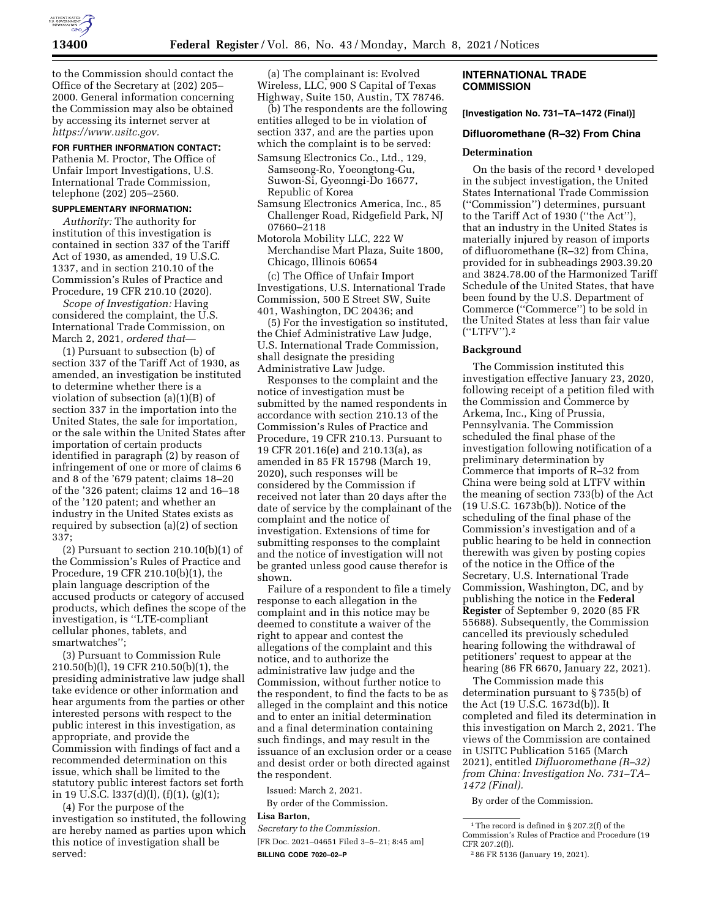

to the Commission should contact the Office of the Secretary at (202) 205– 2000. General information concerning the Commission may also be obtained by accessing its internet server at *[https://www.usitc.gov.](https://www.usitc.gov)* 

#### **FOR FURTHER INFORMATION CONTACT:**

Pathenia M. Proctor, The Office of Unfair Import Investigations, U.S. International Trade Commission, telephone (202) 205–2560.

# **SUPPLEMENTARY INFORMATION:**

*Authority:* The authority for institution of this investigation is contained in section 337 of the Tariff Act of 1930, as amended, 19 U.S.C. 1337, and in section 210.10 of the Commission's Rules of Practice and Procedure, 19 CFR 210.10 (2020).

*Scope of Investigation:* Having considered the complaint, the U.S. International Trade Commission, on March 2, 2021, *ordered that*—

(1) Pursuant to subsection (b) of section 337 of the Tariff Act of 1930, as amended, an investigation be instituted to determine whether there is a violation of subsection (a)(1)(B) of section 337 in the importation into the United States, the sale for importation, or the sale within the United States after importation of certain products identified in paragraph (2) by reason of infringement of one or more of claims 6 and 8 of the '679 patent; claims 18–20 of the '326 patent; claims 12 and 16–18 of the '120 patent; and whether an industry in the United States exists as required by subsection (a)(2) of section 337;

(2) Pursuant to section  $210.10(b)(1)$  of the Commission's Rules of Practice and Procedure, 19 CFR 210.10(b)(1), the plain language description of the accused products or category of accused products, which defines the scope of the investigation, is ''LTE-compliant cellular phones, tablets, and smartwatches'';

(3) Pursuant to Commission Rule 210.50(b)(l), 19 CFR 210.50(b)(1), the presiding administrative law judge shall take evidence or other information and hear arguments from the parties or other interested persons with respect to the public interest in this investigation, as appropriate, and provide the Commission with findings of fact and a recommended determination on this issue, which shall be limited to the statutory public interest factors set forth in 19 U.S.C.  $1337(d)(l)$ ,  $(f)(1)$ ,  $(g)(1)$ ;

(4) For the purpose of the investigation so instituted, the following are hereby named as parties upon which this notice of investigation shall be served:

(a) The complainant is: Evolved Wireless, LLC, 900 S Capital of Texas Highway, Suite 150, Austin, TX 78746.

(b) The respondents are the following entities alleged to be in violation of section 337, and are the parties upon which the complaint is to be served:

Samsung Electronics Co., Ltd., 129, Samseong-Ro, Yoeongtong-Gu, Suwon-Si, Gyeonngi-Do 16677, Republic of Korea

- Samsung Electronics America, Inc., 85 Challenger Road, Ridgefield Park, NJ 07660–2118
- Motorola Mobility LLC, 222 W Merchandise Mart Plaza, Suite 1800, Chicago, Illinois 60654

(c) The Office of Unfair Import Investigations, U.S. International Trade Commission, 500 E Street SW, Suite 401, Washington, DC 20436; and

(5) For the investigation so instituted, the Chief Administrative Law Judge, U.S. International Trade Commission, shall designate the presiding Administrative Law Judge.

Responses to the complaint and the notice of investigation must be submitted by the named respondents in accordance with section 210.13 of the Commission's Rules of Practice and Procedure, 19 CFR 210.13. Pursuant to 19 CFR 201.16(e) and 210.13(a), as amended in 85 FR 15798 (March 19, 2020), such responses will be considered by the Commission if received not later than 20 days after the date of service by the complainant of the complaint and the notice of investigation. Extensions of time for submitting responses to the complaint and the notice of investigation will not be granted unless good cause therefor is shown.

Failure of a respondent to file a timely response to each allegation in the complaint and in this notice may be deemed to constitute a waiver of the right to appear and contest the allegations of the complaint and this notice, and to authorize the administrative law judge and the Commission, without further notice to the respondent, to find the facts to be as alleged in the complaint and this notice and to enter an initial determination and a final determination containing such findings, and may result in the issuance of an exclusion order or a cease and desist order or both directed against the respondent.

Issued: March 2, 2021.

By order of the Commission.

# **Lisa Barton,**

*Secretary to the Commission.* 

[FR Doc. 2021–04651 Filed 3–5–21; 8:45 am] **BILLING CODE 7020–02–P** 

### **INTERNATIONAL TRADE COMMISSION**

**[Investigation No. 731–TA–1472 (Final)]** 

#### **Difluoromethane (R–32) From China**

#### **Determination**

On the basis of the record  $\frac{1}{1}$  developed in the subject investigation, the United States International Trade Commission (''Commission'') determines, pursuant to the Tariff Act of 1930 (''the Act''), that an industry in the United States is materially injured by reason of imports of difluoromethane (R–32) from China, provided for in subheadings 2903.39.20 and 3824.78.00 of the Harmonized Tariff Schedule of the United States, that have been found by the U.S. Department of Commerce (''Commerce'') to be sold in the United States at less than fair value (''LTFV'').2

#### **Background**

The Commission instituted this investigation effective January 23, 2020, following receipt of a petition filed with the Commission and Commerce by Arkema, Inc., King of Prussia, Pennsylvania. The Commission scheduled the final phase of the investigation following notification of a preliminary determination by Commerce that imports of R–32 from China were being sold at LTFV within the meaning of section 733(b) of the Act (19 U.S.C. 1673b(b)). Notice of the scheduling of the final phase of the Commission's investigation and of a public hearing to be held in connection therewith was given by posting copies of the notice in the Office of the Secretary, U.S. International Trade Commission, Washington, DC, and by publishing the notice in the **Federal Register** of September 9, 2020 (85 FR 55688). Subsequently, the Commission cancelled its previously scheduled hearing following the withdrawal of petitioners' request to appear at the hearing (86 FR 6670, January 22, 2021).

The Commission made this determination pursuant to § 735(b) of the Act (19 U.S.C. 1673d(b)). It completed and filed its determination in this investigation on March 2, 2021. The views of the Commission are contained in USITC Publication 5165 (March 2021), entitled *Difluoromethane (R–32) from China: Investigation No. 731–TA– 1472 (Final).* 

By order of the Commission.

<sup>1</sup>The record is defined in § 207.2(f) of the Commission's Rules of Practice and Procedure (19 CFR 207.2(f)).

<sup>2</sup> 86 FR 5136 (January 19, 2021).